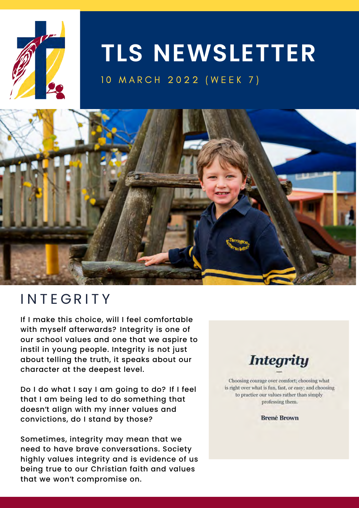

# **TLS NEWSLETTER**

#### 10 MARCH 2022 (WEEK 7)



## **INTEGRITY**

If I make this choice, will I feel comfortable with myself afterwards? Integrity is one of our school values and one that we aspire to instil in young people. Integrity is not just about telling the truth, it speaks about our character at the deepest level.

Do I do what I say I am going to do? If I feel that I am being led to do something that doesn't align with my inner values and convictions, do I stand by those?

Sometimes, integrity may mean that we need to have brave conversations. Society highly values integrity and is evidence of us being true to our Christian faith and values that we won't compromise on.



Choosing courage over comfort; choosing what is right over what is fun, fast, or easy; and choosing to practice our values rather than simply professing them.

**Brené Brown**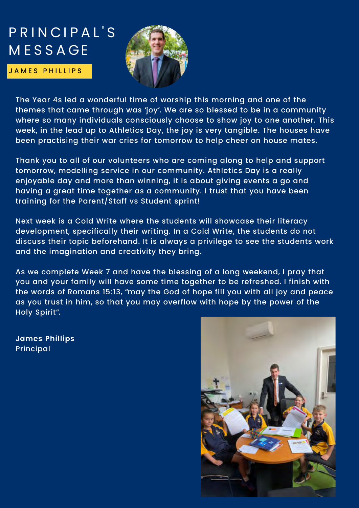## PRINCIPAL'S **MESSAGE**

**JAMES PHILLIPS** 



The Year 4s led a wonderful time of worship this morning and one of the themes that came through was 'joy'. We are so blessed to be in a community where so many individuals consciously choose to show joy to one another. This week, in the lead up to Athletics Day, the joy is very tangible. The houses have been practising their war cries for tomorrow to help cheer on house mates.

Thank you to all of our volunteers who are coming along to help and support tomorrow, modelling service in our community. Athletics Day is a really enjoyable day and more than winning, it is about giving events a go and having a great time together as a community. I trust that you have been training for the Parent/Staff vs Student sprint!

Next week is a Cold Write where the students will showcase their literacy development, specifically their writing. In a Cold Write, the students do not discuss their topic beforehand. It is always a privilege to see the students work and the imagination and creativity they bring.

As we complete Week 7 and have the blessing of a long weekend, I pray that you and your family will have some time together to be refreshed. I finish with the words of Romans 15:13, "may the God of hope fill you with all joy and peace as you trust in him, so that you may overflow with hope by the power of the Holy Spirit".

**James Phillips** Principal

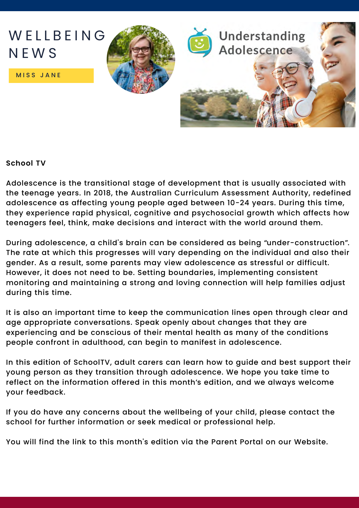

#### **School TV**

Adolescence is the transitional stage of development that is usually associated with the teenage years. In 2018, the Australian Curriculum Assessment Authority, redefined adolescence as affecting young people aged between 10-24 years. During this time, they experience rapid physical, cognitive and psychosocial growth which affects how teenagers feel, think, make decisions and interact with the world around them.

During adolescence, a child's brain can be considered as being "under-construction". The rate at which this progresses will vary depending on the individual and also their gender. As a result, some parents may view adolescence as stressful or difficult. However, it does not need to be. Setting boundaries, implementing consistent monitoring and maintaining a strong and loving connection will help families adjust during this time.

It is also an important time to keep the communication lines open through clear and age appropriate conversations. Speak openly about changes that they are experiencing and be conscious of their mental health as many of the conditions people confront in adulthood, can begin to manifest in adolescence.

In this edition of SchoolTV, adult carers can learn how to guide and best support their young person as they transition through adolescence. We hope you take time to reflect on the information offered in this month's edition, and we always welcome your feedback.

If you do have any concerns about the wellbeing of your child, please contact the school for further information or seek medical or professional help.

You will find the link to this month's edition via the Parent Portal on our Website.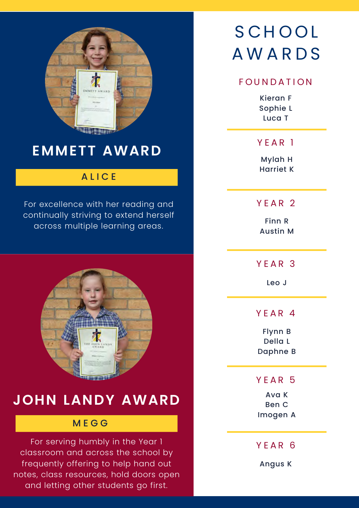

## **EMMETT AWARD**

#### **ALICE**

For excellence with her reading and continually striving to extend herself across multiple learning areas.



### **JOHN LANDY AWARD**

#### M E G G

For serving humbly in the Year 1 classroom and across the school by frequently offering to help hand out notes, class resources, hold doors open and letting other students go first.

## **SCHOOL** A W A R D S

#### FOUNDATION

Kieran F Sophie L Luca T

Y E A R 1

Mylah H Harriet K

YFAR<sub>2</sub>

Finn R Austin M

Y F A R 3

Leo J

Y F A R 4

Flynn B Della L Daphne B

Y E A R 5

Ava K Ben C Imogen A

Y E A R 6

Angus K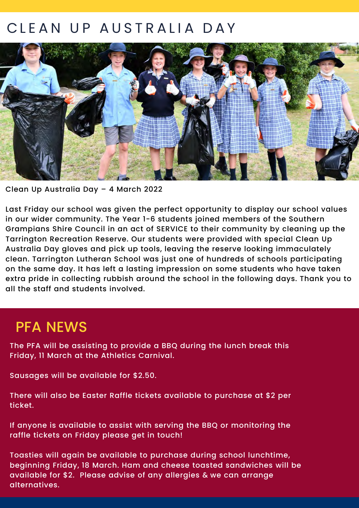## CLEAN UP AUSTRALIA DAY



Clean Up Australia Day – 4 March 2022

Last Friday our school was given the perfect opportunity to display our school values in our wider community. The Year 1-6 students joined members of the Southern Grampians Shire Council in an act of SERVICE to their community by cleaning up the Tarrington Recreation Reserve. Our students were provided with special Clean Up Australia Day gloves and pick up tools, leaving the reserve looking immaculately clean. Tarrington Lutheran School was just one of hundreds of schools participating on the same day. It has left a lasting impression on some students who have taken extra pride in collecting rubbish around the school in the following days. Thank you to all the staff and students involved.

#### PFA NEWS

The PFA will be assisting to provide a BBQ during the lunch break this Friday, 11 March at the Athletics Carnival.

Sausages will be available for \$2.50.

There will also be Easter Raffle tickets available to purchase at \$2 per ticket.

If anyone is available to assist with serving the BBQ or monitoring the raffle tickets on Friday please get in touch!

Toasties will again be available to purchase during school lunchtime, beginning Friday, 18 March. Ham and cheese toasted sandwiches will be available for \$2. Please advise of any allergies & we can arrange alternatives.